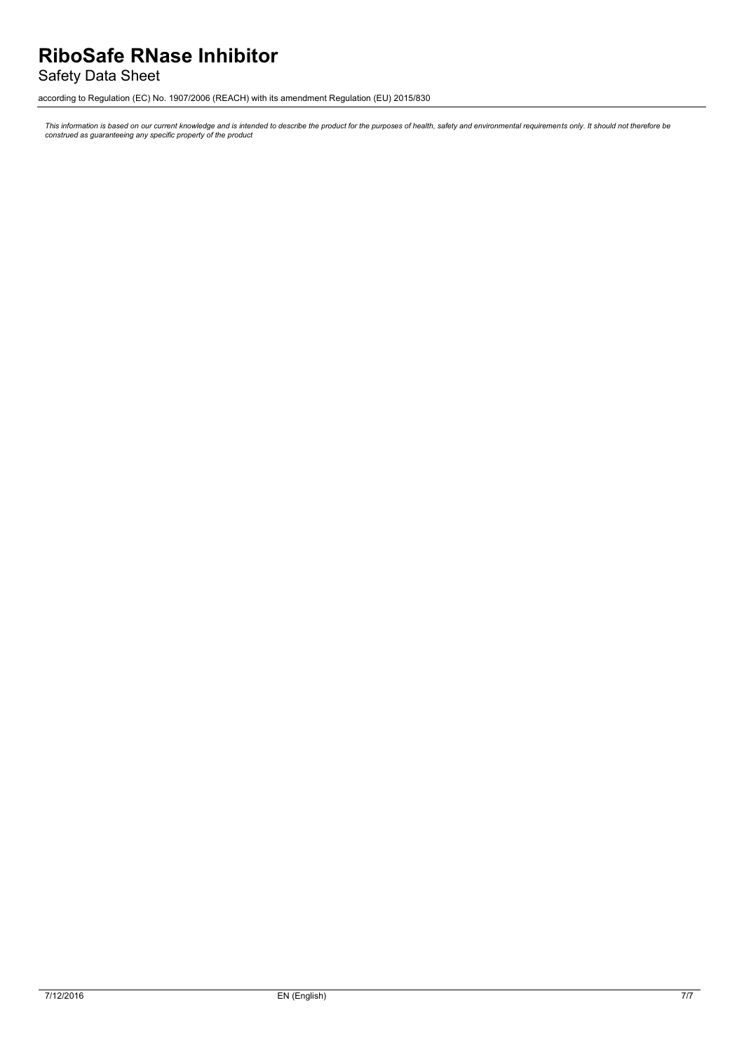# **RiboSafe RNase Inhibitor**

Safety Data Sheet

according to Regulation (EC) No. 1907/2006 (REACH) with its amendment Regulation (EU) 2015/830

This information is based on our current knowledge and is intended to describe the product for the purposes of health, safety and environmental requirements only. It should not therefore be<br>construed as guaranteeing any sp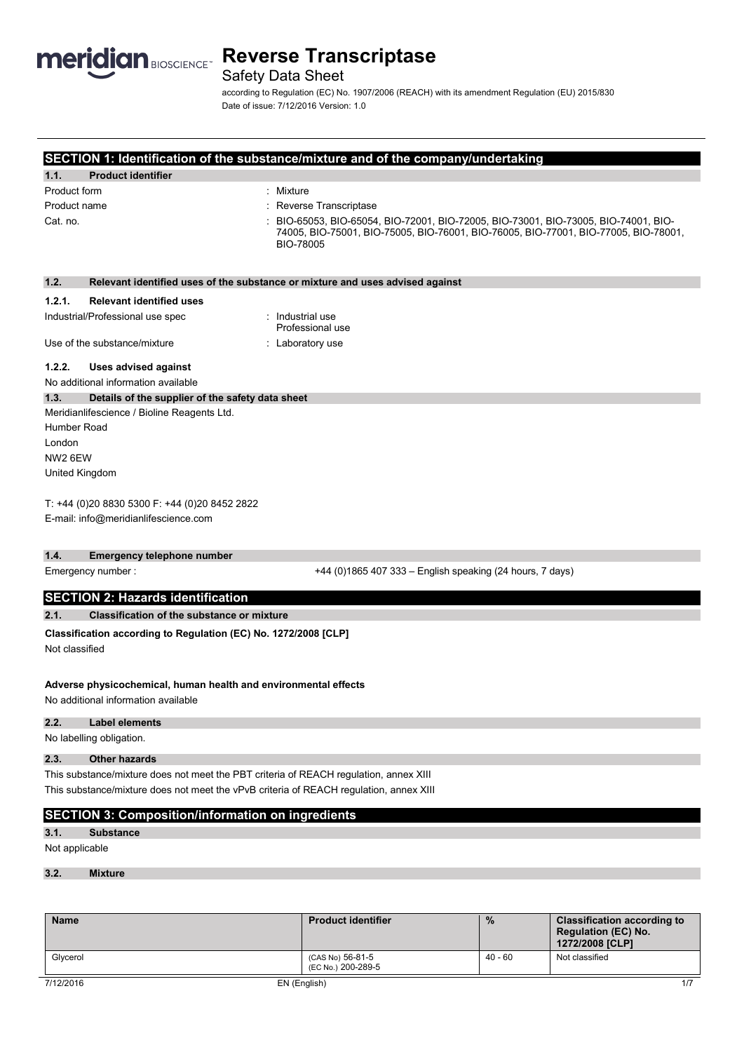

Safety Data Sheet

according to Regulation (EC) No. 1907/2006 (REACH) with its amendment Regulation (EU) 2015/830 Date of issue: 7/12/2016 Version: 1.0

## **SECTION 1: Identification of the substance/mixture and of the company/undertaking**

| 1.1.<br><b>Product identifier</b> |                                                                                                                                                                                       |
|-----------------------------------|---------------------------------------------------------------------------------------------------------------------------------------------------------------------------------------|
| Product form                      | Mixture                                                                                                                                                                               |
| Product name                      | : Reverse Transcriptase                                                                                                                                                               |
| Cat. no.                          | BIO-65053, BIO-65054, BIO-72001, BIO-72005, BIO-73001, BIO-73005, BIO-74001, BIO-<br>74005, BIO-75001, BIO-75005, BIO-76001, BIO-76005, BIO-77001, BIO-77005, BIO-78001,<br>BIO-78005 |

| 1.2.               | Relevant identified uses of the substance or mixture and uses advised against                          |                                                           |
|--------------------|--------------------------------------------------------------------------------------------------------|-----------------------------------------------------------|
| 1.2.1.             | <b>Relevant identified uses</b>                                                                        |                                                           |
|                    | Industrial/Professional use spec                                                                       | : Industrial use<br>Professional use                      |
|                    | Use of the substance/mixture                                                                           | : Laboratory use                                          |
| 1.2.2.             | <b>Uses advised against</b>                                                                            |                                                           |
|                    | No additional information available                                                                    |                                                           |
| 1.3.               | Details of the supplier of the safety data sheet                                                       |                                                           |
|                    | Meridianlifescience / Bioline Reagents Ltd.                                                            |                                                           |
| Humber Road        |                                                                                                        |                                                           |
| London             |                                                                                                        |                                                           |
| NW <sub>26EW</sub> |                                                                                                        |                                                           |
| United Kingdom     |                                                                                                        |                                                           |
|                    | T: +44 (0)20 8830 5300 F: +44 (0)20 8452 2822<br>E-mail: info@meridianlifescience.com                  |                                                           |
| 1.4.               | Emergency telephone number                                                                             |                                                           |
| Emergency number:  |                                                                                                        | +44 (0)1865 407 333 - English speaking (24 hours, 7 days) |
|                    | <b>SECTION 2: Hazards identification</b>                                                               |                                                           |
| 2.1.               | <b>Classification of the substance or mixture</b>                                                      |                                                           |
| Not classified     | Classification according to Regulation (EC) No. 1272/2008 [CLP]                                        |                                                           |
|                    | Adverse physicochemical, human health and environmental effects<br>No additional information available |                                                           |

### **2.2. Label elements**

No labelling obligation.

### **2.3. Other hazards**

This substance/mixture does not meet the PBT criteria of REACH regulation, annex XIII This substance/mixture does not meet the vPvB criteria of REACH regulation, annex XIII

### **SECTION 3: Composition/information on ingredients**

**3.1. Substance**

Not applicable

### **3.2. Mixture**

| <b>Name</b> | <b>Product identifier</b>              | $\frac{9}{6}$ | <b>Classification according to</b><br><b>Regulation (EC) No.</b><br>1272/2008 [CLP] |
|-------------|----------------------------------------|---------------|-------------------------------------------------------------------------------------|
| Glycerol    | (CAS No) 56-81-5<br>(EC No.) 200-289-5 | 40 - 60       | Not classified                                                                      |
| 7/12/2016   | EN (English)                           |               | 1/7                                                                                 |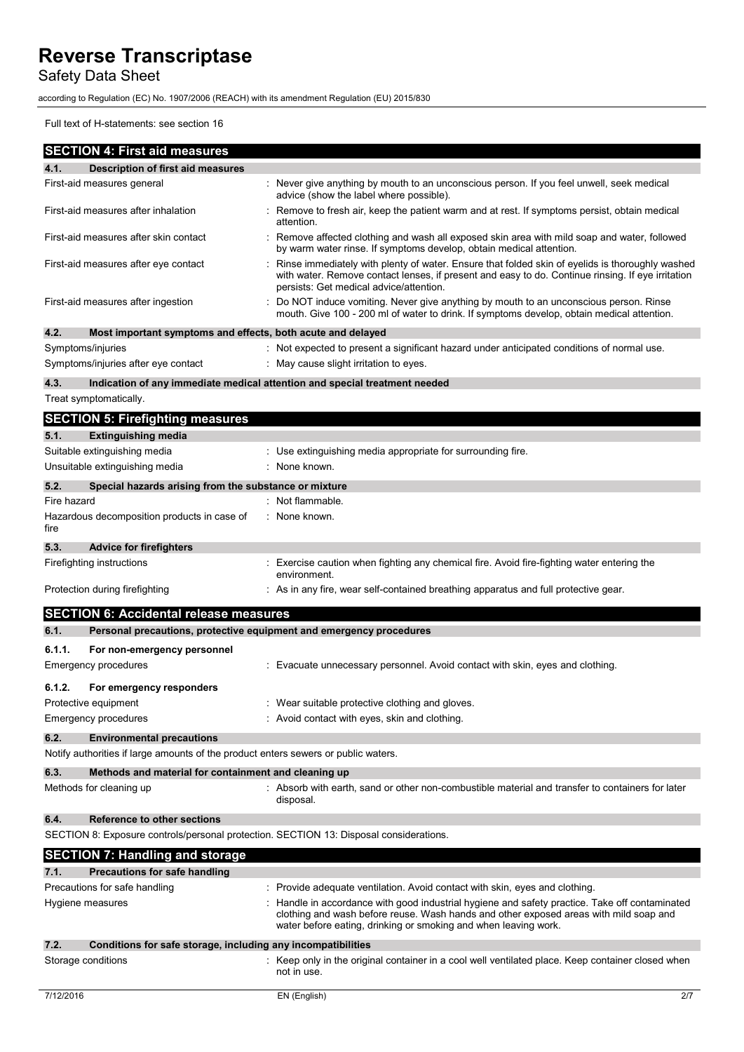Safety Data Sheet

according to Regulation (EC) No. 1907/2006 (REACH) with its amendment Regulation (EU) 2015/830

Full text of H-statements: see section 16

|             | <b>SECTION 4: First aid measures</b>                                                   |                                                                                                                                                                                                                                                          |
|-------------|----------------------------------------------------------------------------------------|----------------------------------------------------------------------------------------------------------------------------------------------------------------------------------------------------------------------------------------------------------|
| 4.1.        | <b>Description of first aid measures</b>                                               |                                                                                                                                                                                                                                                          |
|             | First-aid measures general                                                             | Never give anything by mouth to an unconscious person. If you feel unwell, seek medical<br>advice (show the label where possible).                                                                                                                       |
|             | First-aid measures after inhalation                                                    | Remove to fresh air, keep the patient warm and at rest. If symptoms persist, obtain medical<br>attention.                                                                                                                                                |
|             | First-aid measures after skin contact                                                  | Remove affected clothing and wash all exposed skin area with mild soap and water, followed<br>by warm water rinse. If symptoms develop, obtain medical attention.                                                                                        |
|             | First-aid measures after eye contact                                                   | Rinse immediately with plenty of water. Ensure that folded skin of eyelids is thoroughly washed<br>with water. Remove contact lenses, if present and easy to do. Continue rinsing. If eye irritation<br>persists: Get medical advice/attention.          |
|             | First-aid measures after ingestion                                                     | Do NOT induce vomiting. Never give anything by mouth to an unconscious person. Rinse<br>mouth. Give 100 - 200 ml of water to drink. If symptoms develop, obtain medical attention.                                                                       |
| 4.2.        | Most important symptoms and effects, both acute and delayed                            |                                                                                                                                                                                                                                                          |
|             | Symptoms/injuries                                                                      | : Not expected to present a significant hazard under anticipated conditions of normal use.                                                                                                                                                               |
|             | Symptoms/injuries after eye contact                                                    | May cause slight irritation to eyes.                                                                                                                                                                                                                     |
| 4.3.        |                                                                                        | Indication of any immediate medical attention and special treatment needed                                                                                                                                                                               |
|             | Treat symptomatically.                                                                 |                                                                                                                                                                                                                                                          |
|             | <b>SECTION 5: Firefighting measures</b>                                                |                                                                                                                                                                                                                                                          |
| 5.1.        | <b>Extinguishing media</b>                                                             |                                                                                                                                                                                                                                                          |
|             | Suitable extinguishing media                                                           | : Use extinguishing media appropriate for surrounding fire.                                                                                                                                                                                              |
|             | Unsuitable extinguishing media                                                         | : None known.                                                                                                                                                                                                                                            |
| 5.2.        | Special hazards arising from the substance or mixture                                  |                                                                                                                                                                                                                                                          |
| Fire hazard |                                                                                        | Not flammable.                                                                                                                                                                                                                                           |
| fire        | Hazardous decomposition products in case of                                            | : None known.                                                                                                                                                                                                                                            |
| 5.3.        | <b>Advice for firefighters</b>                                                         |                                                                                                                                                                                                                                                          |
|             | Firefighting instructions                                                              | Exercise caution when fighting any chemical fire. Avoid fire-fighting water entering the<br>environment.                                                                                                                                                 |
|             | Protection during firefighting                                                         | : As in any fire, wear self-contained breathing apparatus and full protective gear.                                                                                                                                                                      |
|             | <b>SECTION 6: Accidental release measures</b>                                          |                                                                                                                                                                                                                                                          |
| 6.1.        | Personal precautions, protective equipment and emergency procedures                    |                                                                                                                                                                                                                                                          |
| 6.1.1.      | For non-emergency personnel                                                            |                                                                                                                                                                                                                                                          |
|             | Emergency procedures                                                                   | Evacuate unnecessary personnel. Avoid contact with skin, eyes and clothing.                                                                                                                                                                              |
| 6.1.2.      | For emergency responders                                                               |                                                                                                                                                                                                                                                          |
|             | Protective equipment                                                                   | Wear suitable protective clothing and gloves.                                                                                                                                                                                                            |
|             | Emergency procedures                                                                   | Avoid contact with eyes, skin and clothing.                                                                                                                                                                                                              |
| 6.2.        | <b>Environmental precautions</b>                                                       |                                                                                                                                                                                                                                                          |
|             | Notify authorities if large amounts of the product enters sewers or public waters.     |                                                                                                                                                                                                                                                          |
| 6.3.        | Methods and material for containment and cleaning up                                   |                                                                                                                                                                                                                                                          |
|             | Methods for cleaning up                                                                | : Absorb with earth, sand or other non-combustible material and transfer to containers for later<br>disposal.                                                                                                                                            |
| 6.4.        | Reference to other sections                                                            |                                                                                                                                                                                                                                                          |
|             | SECTION 8: Exposure controls/personal protection. SECTION 13: Disposal considerations. |                                                                                                                                                                                                                                                          |
|             | <b>SECTION 7: Handling and storage</b>                                                 |                                                                                                                                                                                                                                                          |
| 7.1.        | <b>Precautions for safe handling</b>                                                   |                                                                                                                                                                                                                                                          |
|             | Precautions for safe handling                                                          | : Provide adequate ventilation. Avoid contact with skin, eyes and clothing.                                                                                                                                                                              |
|             | Hygiene measures                                                                       | Handle in accordance with good industrial hygiene and safety practice. Take off contaminated<br>clothing and wash before reuse. Wash hands and other exposed areas with mild soap and<br>water before eating, drinking or smoking and when leaving work. |
| 7.2.        | Conditions for safe storage, including any incompatibilities                           |                                                                                                                                                                                                                                                          |
|             | Storage conditions                                                                     | : Keep only in the original container in a cool well ventilated place. Keep container closed when<br>not in use.                                                                                                                                         |
| 7/12/2016   |                                                                                        | 2/7<br>EN (English)                                                                                                                                                                                                                                      |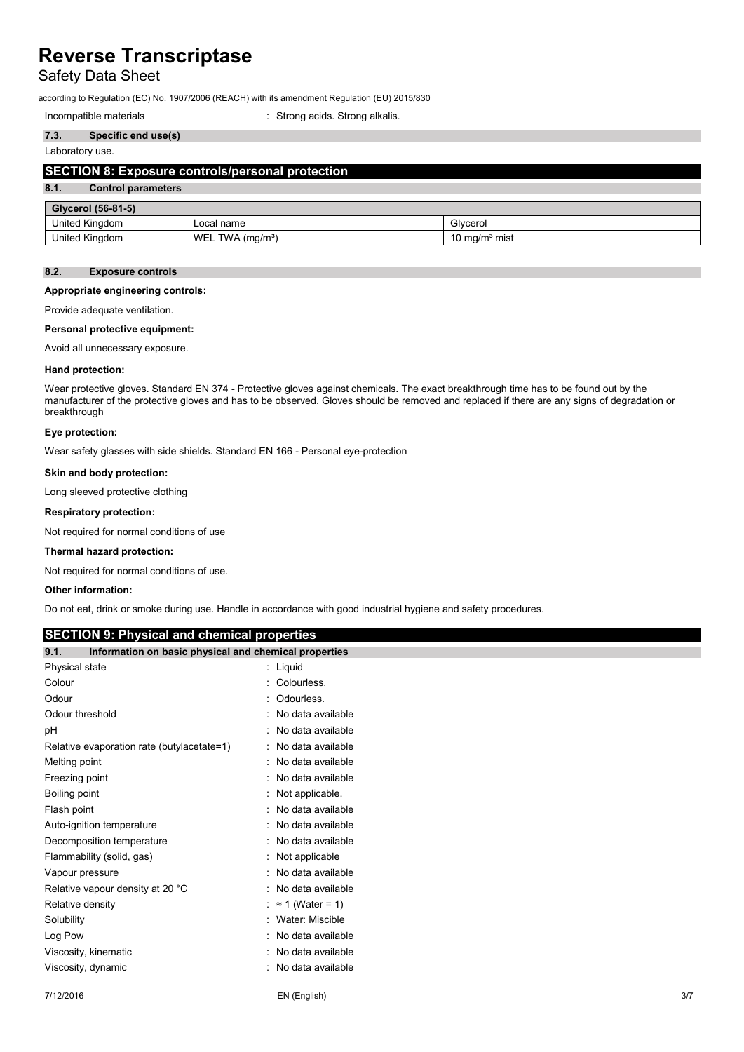## Safety Data Sheet

according to Regulation (EC) No. 1907/2006 (REACH) with its amendment Regulation (EU) 2015/830

| Incompatible materials | Strong acids. Strong alkalis. |  |
|------------------------|-------------------------------|--|
|------------------------|-------------------------------|--|

### **7.3. Specific end use(s)**

### Laboratory use.

### **SECTION 8: Exposure controls/personal protection**

## **8.1. Control parameters**

| <b>Glycerol (56-81-5)</b> |                                   |                           |  |
|---------------------------|-----------------------------------|---------------------------|--|
| United Kingdom            | ∟ocal name                        | Givcerol                  |  |
| United Kingdom            | WEL<br>$TWA$ (ma/m <sup>3</sup> ) | 10 mg/m <sup>3</sup> mist |  |

### **8.2. Exposure controls**

### **Appropriate engineering controls:**

Provide adequate ventilation.

### **Personal protective equipment:**

Avoid all unnecessary exposure.

### **Hand protection:**

Wear protective gloves. Standard EN 374 - Protective gloves against chemicals. The exact breakthrough time has to be found out by the manufacturer of the protective gloves and has to be observed. Gloves should be removed and replaced if there are any signs of degradation or breakthrough

### **Eye protection:**

Wear safety glasses with side shields. Standard EN 166 - Personal eye-protection

### **Skin and body protection:**

Long sleeved protective clothing

### **Respiratory protection:**

Not required for normal conditions of use

### **Thermal hazard protection:**

Not required for normal conditions of use.

### **Other information:**

Do not eat, drink or smoke during use. Handle in accordance with good industrial hygiene and safety procedures.

### **SECTION 9: Physical and chemical properties**

## **9.1. Information on basic physical and chemical properties**

| Physical state                             | Liquid                  |
|--------------------------------------------|-------------------------|
| Colour                                     | Colourless.             |
| Odour                                      | Odourless.              |
| Odour threshold                            | No data available       |
| рH                                         | No data available       |
| Relative evaporation rate (butylacetate=1) | No data available       |
| Melting point                              | No data available       |
| Freezing point                             | No data available       |
| Boiling point                              | Not applicable.         |
| Flash point                                | No data available       |
| Auto-ignition temperature                  | No data available       |
| Decomposition temperature                  | No data available       |
| Flammability (solid, gas)                  | Not applicable          |
| Vapour pressure                            | No data available       |
| Relative vapour density at 20 °C           | No data available       |
| Relative density                           | $\approx$ 1 (Water = 1) |
| Solubility                                 | Water: Miscible         |
| Log Pow                                    | No data available       |
| Viscosity, kinematic                       | No data available       |
| Viscosity, dynamic                         | No data available       |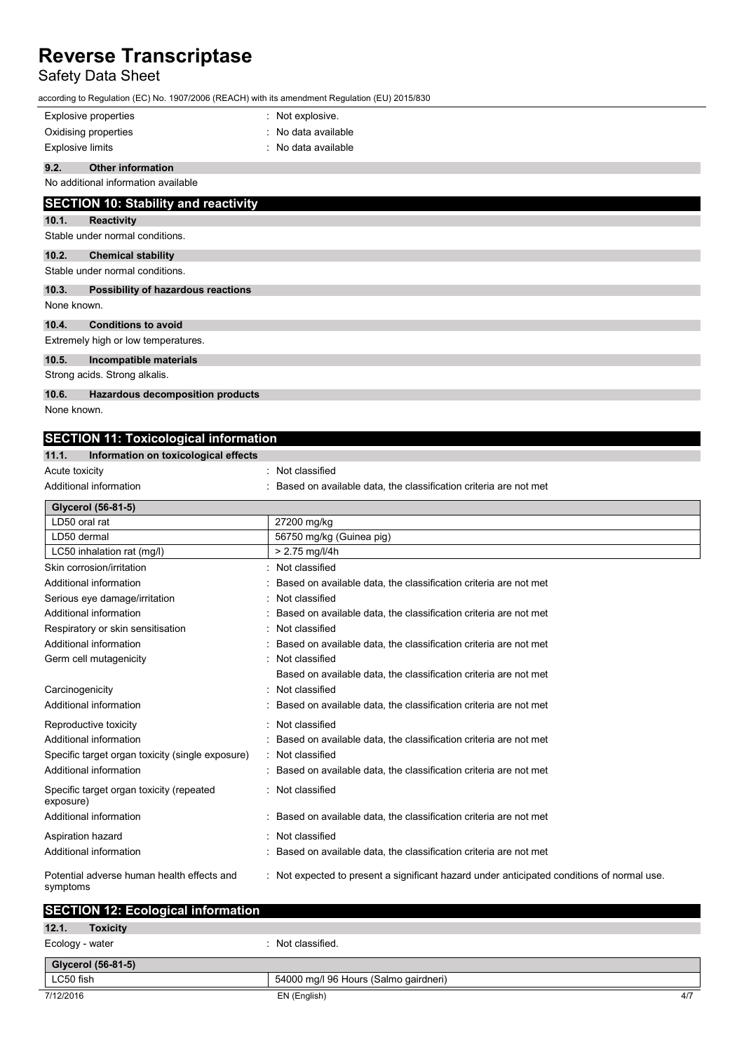## Safety Data Sheet

according to Regulation (EC) No. 1907/2006 (REACH) with its amendment Regulation (EU) 2015/830

|             | according to Regulation (LO) No. 1907/2000 (REAGH) With its amendment Regulation (LO) 2019/090 |                     |
|-------------|------------------------------------------------------------------------------------------------|---------------------|
|             | <b>Explosive properties</b>                                                                    | : Not explosive.    |
|             | Oxidising properties                                                                           | : No data available |
|             | <b>Explosive limits</b>                                                                        | : No data available |
| 9.2.        | <b>Other information</b>                                                                       |                     |
|             | No additional information available                                                            |                     |
|             | <b>SECTION 10: Stability and reactivity</b>                                                    |                     |
| 10.1.       | <b>Reactivity</b>                                                                              |                     |
|             | Stable under normal conditions.                                                                |                     |
| 10.2.       | <b>Chemical stability</b>                                                                      |                     |
|             | Stable under normal conditions.                                                                |                     |
| 10.3.       | Possibility of hazardous reactions                                                             |                     |
| None known. |                                                                                                |                     |
| 10.4.       | <b>Conditions to avoid</b>                                                                     |                     |
|             | Extremely high or low temperatures.                                                            |                     |
| 10.5.       | Incompatible materials                                                                         |                     |
|             | Strong acids. Strong alkalis.                                                                  |                     |
| 10.6.       | Hazardous decomposition products                                                               |                     |
| Nono known  |                                                                                                |                     |

None known.

## **SECTION 11: Toxicological information**

| 11.1.<br>Information on toxicological effects          |                                                                                            |
|--------------------------------------------------------|--------------------------------------------------------------------------------------------|
| Acute toxicity                                         | Not classified                                                                             |
| Additional information                                 | Based on available data, the classification criteria are not met                           |
| Glycerol (56-81-5)                                     |                                                                                            |
| LD50 oral rat                                          | 27200 mg/kg                                                                                |
| LD50 dermal                                            | 56750 mg/kg (Guinea pig)                                                                   |
| LC50 inhalation rat (mg/l)                             | $> 2.75$ mg/l/4h                                                                           |
| Skin corrosion/irritation                              | Not classified                                                                             |
| Additional information                                 | Based on available data, the classification criteria are not met                           |
| Serious eye damage/irritation                          | Not classified                                                                             |
| Additional information                                 | Based on available data, the classification criteria are not met                           |
| Respiratory or skin sensitisation                      | Not classified                                                                             |
| Additional information                                 | Based on available data, the classification criteria are not met                           |
| Germ cell mutagenicity                                 | Not classified                                                                             |
|                                                        | Based on available data, the classification criteria are not met                           |
| Carcinogenicity                                        | Not classified                                                                             |
| Additional information                                 | Based on available data, the classification criteria are not met                           |
| Reproductive toxicity                                  | Not classified                                                                             |
| Additional information                                 | Based on available data, the classification criteria are not met                           |
| Specific target organ toxicity (single exposure)       | Not classified                                                                             |
| Additional information                                 | Based on available data, the classification criteria are not met                           |
| Specific target organ toxicity (repeated<br>exposure)  | : Not classified                                                                           |
| Additional information                                 | Based on available data, the classification criteria are not met                           |
| Aspiration hazard                                      | Not classified                                                                             |
| Additional information                                 | Based on available data, the classification criteria are not met                           |
| Potential adverse human health effects and<br>symptoms | : Not expected to present a significant hazard under anticipated conditions of normal use. |
| <b>SECTION 12: Ecological information</b>              |                                                                                            |

| 12.1.<br><b>Toxicity</b> |                                       |
|--------------------------|---------------------------------------|
| Ecology - water          | : Not classified.                     |
| Glycerol (56-81-5)       |                                       |
| LC50 fish                | 54000 mg/l 96 Hours (Salmo gairdneri) |
| 7/12/2016                | 4/7<br>EN (English)                   |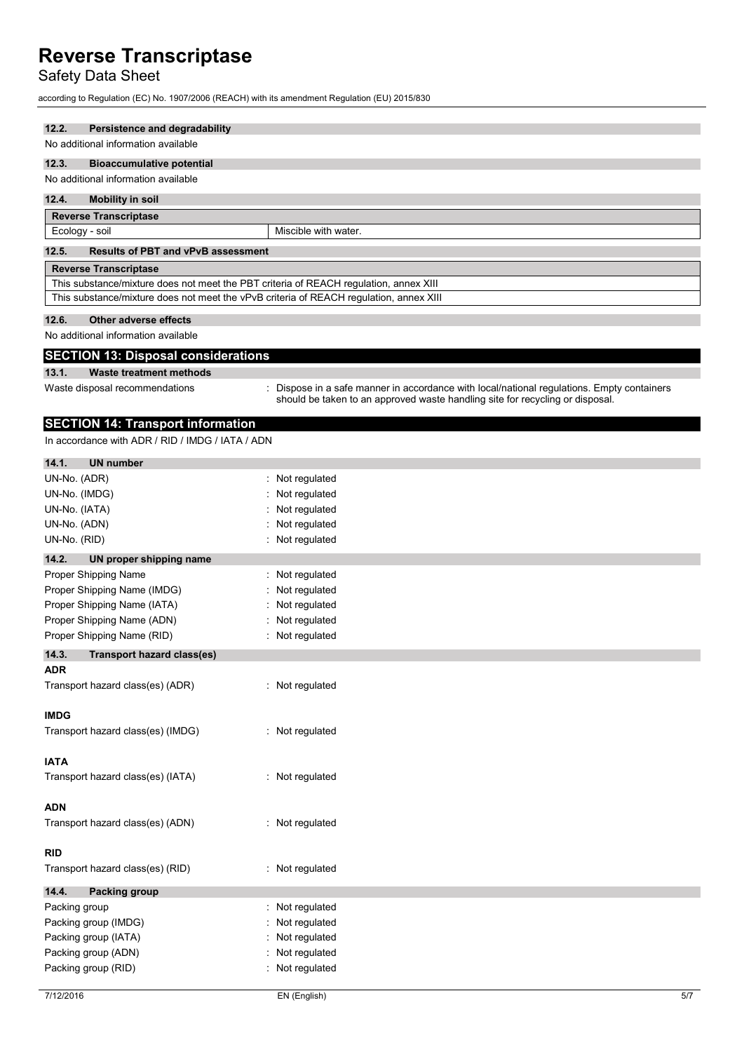## Safety Data Sheet

according to Regulation (EC) No. 1907/2006 (REACH) with its amendment Regulation (EU) 2015/830

### **12.2. Persistence and degradability**

### No additional information available

### **12.3. Bioaccumulative potential**

No additional information available

### **12.4. Mobility in soil**

| <b>Reverse Transcriptase</b>                                                           |                      |  |
|----------------------------------------------------------------------------------------|----------------------|--|
| Ecology - soil                                                                         | Miscible with water. |  |
| 12.5.<br><b>Results of PBT and vPvB assessment</b>                                     |                      |  |
| <b>Reverse Transcriptase</b>                                                           |                      |  |
| This substance/mixture does not meet the PBT criteria of REACH regulation, annex XIII  |                      |  |
| This substance/mixture does not meet the vPvB criteria of REACH regulation, annex XIII |                      |  |

### **12.6. Other adverse effects**

No additional information available

### **SECTION 13: Disposal considerations**

### **13.1. Waste treatment methods**

- 
- Waste disposal recommendations : Dispose in a safe manner in accordance with local/national regulations. Empty containers should be taken to an approved waste handling site for recycling or disposal.

### **SECTION 14: Transport information**

In accordance with ADR / RID / IMDG / IATA / ADN

| 14.1.<br><b>UN number</b>                  |                    |
|--------------------------------------------|--------------------|
| UN-No. (ADR)                               | : Not regulated    |
| UN-No. (IMDG)                              | Not regulated      |
| UN-No. (IATA)                              | Not regulated      |
| UN-No. (ADN)                               | Not regulated      |
| UN-No. (RID)                               | Not regulated      |
| 14.2.<br>UN proper shipping name           |                    |
| Proper Shipping Name                       | Not regulated<br>÷ |
| Proper Shipping Name (IMDG)                | Not regulated      |
| Proper Shipping Name (IATA)                | Not regulated      |
| Proper Shipping Name (ADN)                 | Not regulated      |
| Proper Shipping Name (RID)                 | : Not regulated    |
| 14.3.<br><b>Transport hazard class(es)</b> |                    |
| ADR                                        |                    |
| Transport hazard class(es) (ADR)           | : Not regulated    |
| <b>IMDG</b>                                |                    |
| Transport hazard class(es) (IMDG)          | : Not regulated    |
| <b>IATA</b>                                |                    |
| Transport hazard class(es) (IATA)          | : Not regulated    |
| ADN                                        |                    |
| Transport hazard class(es) (ADN)           | : Not regulated    |
| RID                                        |                    |
| Transport hazard class(es) (RID)           | : Not regulated    |
| 14.4.<br><b>Packing group</b>              |                    |
| Packing group                              | Not regulated      |
| Packing group (IMDG)                       | Not regulated      |
| Packing group (IATA)                       | Not regulated      |
| Packing group (ADN)                        | Not regulated      |
| Packing group (RID)                        | Not regulated      |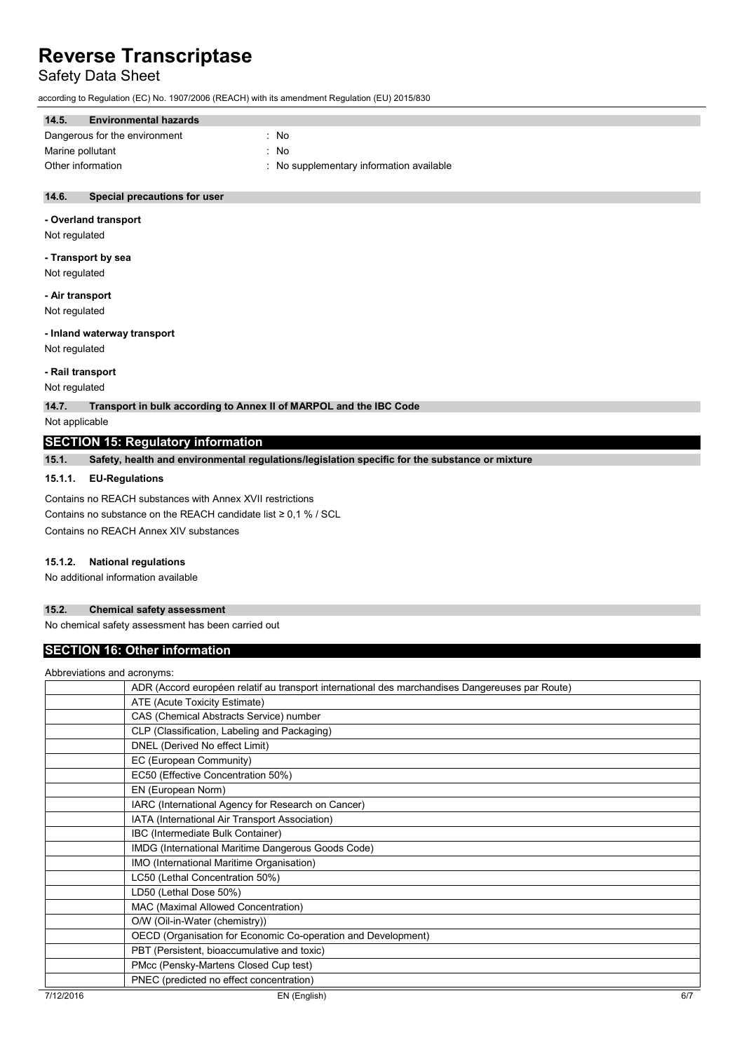## Safety Data Sheet

according to Regulation (EC) No. 1907/2006 (REACH) with its amendment Regulation (EU) 2015/830

| 14.5.             | <b>Environmental hazards</b>  |                                          |
|-------------------|-------------------------------|------------------------------------------|
|                   |                               |                                          |
|                   | Dangerous for the environment | : No                                     |
| Marine pollutant  |                               | : No                                     |
| Other information |                               | : No supplementary information available |

### **14.6. Special precautions for user**

### **- Overland transport**

Not regulated

**- Transport by sea** Not regulated

### **- Air transport**

Not regulated

### **- Inland waterway transport**

Not regulated

### **- Rail transport**

Not regulated

**14.7. Transport in bulk according to Annex II of MARPOL and the IBC Code**

Not applicable

### **SECTION 15: Regulatory information**

**15.1. Safety, health and environmental regulations/legislation specific for the substance or mixture**

### **15.1.1. EU-Regulations**

Contains no REACH substances with Annex XVII restrictions Contains no substance on the REACH candidate list  $\geq 0.1$  % / SCL Contains no REACH Annex XIV substances

### **15.1.2. National regulations**

No additional information available

### **15.2. Chemical safety assessment**

No chemical safety assessment has been carried out

### **SECTION 16: Other information**

Abbreviations and acronyms:

|           | ADDICYMUUIS ANU AGUNIVIIS.                                                                      |     |
|-----------|-------------------------------------------------------------------------------------------------|-----|
|           | ADR (Accord européen relatif au transport international des marchandises Dangereuses par Route) |     |
|           | ATE (Acute Toxicity Estimate)                                                                   |     |
|           | CAS (Chemical Abstracts Service) number                                                         |     |
|           | CLP (Classification, Labeling and Packaging)                                                    |     |
|           | DNEL (Derived No effect Limit)                                                                  |     |
|           | EC (European Community)                                                                         |     |
|           | EC50 (Effective Concentration 50%)                                                              |     |
|           | EN (European Norm)                                                                              |     |
|           | IARC (International Agency for Research on Cancer)                                              |     |
|           | IATA (International Air Transport Association)                                                  |     |
|           | IBC (Intermediate Bulk Container)                                                               |     |
|           | IMDG (International Maritime Dangerous Goods Code)                                              |     |
|           | IMO (International Maritime Organisation)                                                       |     |
|           | LC50 (Lethal Concentration 50%)                                                                 |     |
|           | LD50 (Lethal Dose 50%)                                                                          |     |
|           | MAC (Maximal Allowed Concentration)                                                             |     |
|           | O/W (Oil-in-Water (chemistry))                                                                  |     |
|           | OECD (Organisation for Economic Co-operation and Development)                                   |     |
|           | PBT (Persistent, bioaccumulative and toxic)                                                     |     |
|           | PMcc (Pensky-Martens Closed Cup test)                                                           |     |
|           | PNEC (predicted no effect concentration)                                                        |     |
| 7/12/2016 | EN (English)                                                                                    | 6/7 |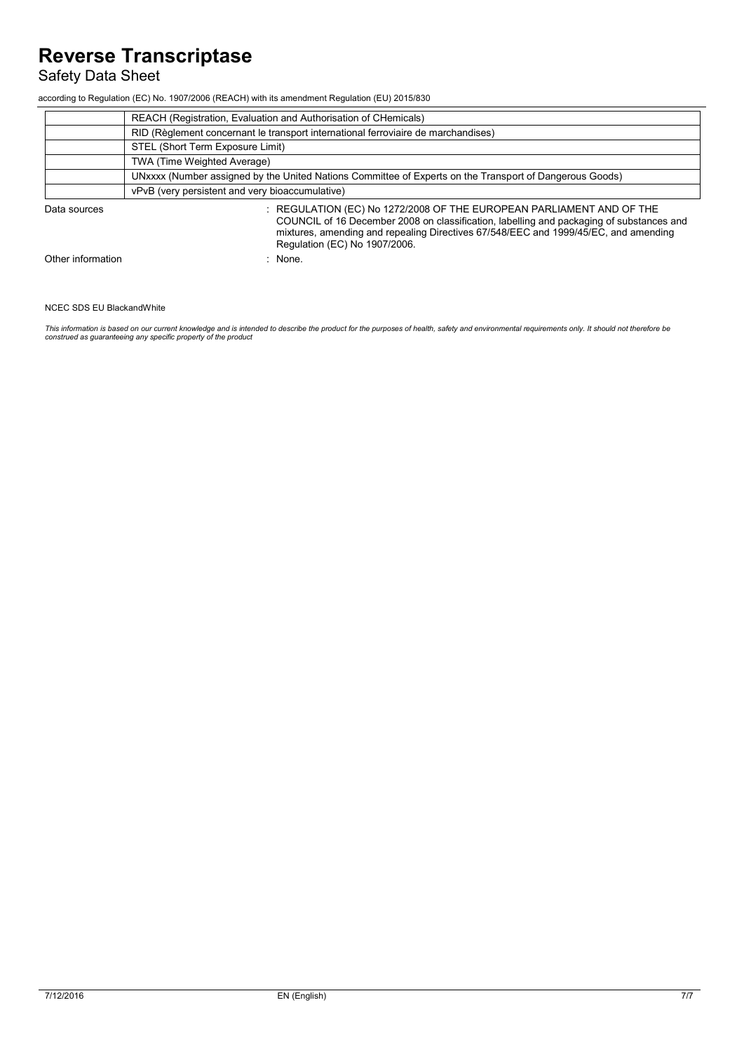## Safety Data Sheet

according to Regulation (EC) No. 1907/2006 (REACH) with its amendment Regulation (EU) 2015/830

|                   | REACH (Registration, Evaluation and Authorisation of CHemicals)                                                                                                                                                                                                                          |  |  |
|-------------------|------------------------------------------------------------------------------------------------------------------------------------------------------------------------------------------------------------------------------------------------------------------------------------------|--|--|
|                   | RID (Règlement concernant le transport international ferroviaire de marchandises)                                                                                                                                                                                                        |  |  |
|                   | STEL (Short Term Exposure Limit)                                                                                                                                                                                                                                                         |  |  |
|                   | TWA (Time Weighted Average)                                                                                                                                                                                                                                                              |  |  |
|                   | UNxxxx (Number assigned by the United Nations Committee of Experts on the Transport of Dangerous Goods)                                                                                                                                                                                  |  |  |
|                   | vPvB (very persistent and very bioaccumulative)                                                                                                                                                                                                                                          |  |  |
| Data sources      | : REGULATION (EC) No 1272/2008 OF THE EUROPEAN PARLIAMENT AND OF THE<br>COUNCIL of 16 December 2008 on classification, labelling and packaging of substances and<br>mixtures, amending and repealing Directives 67/548/EEC and 1999/45/EC, and amending<br>Regulation (EC) No 1907/2006. |  |  |
| Other information | None.                                                                                                                                                                                                                                                                                    |  |  |

### NCEC SDS EU BlackandWhite

This information is based on our current knowledge and is intended to describe the product for the purposes of health, safety and environmental requirements only. It should not therefore be<br>construed as guaranteeing any sp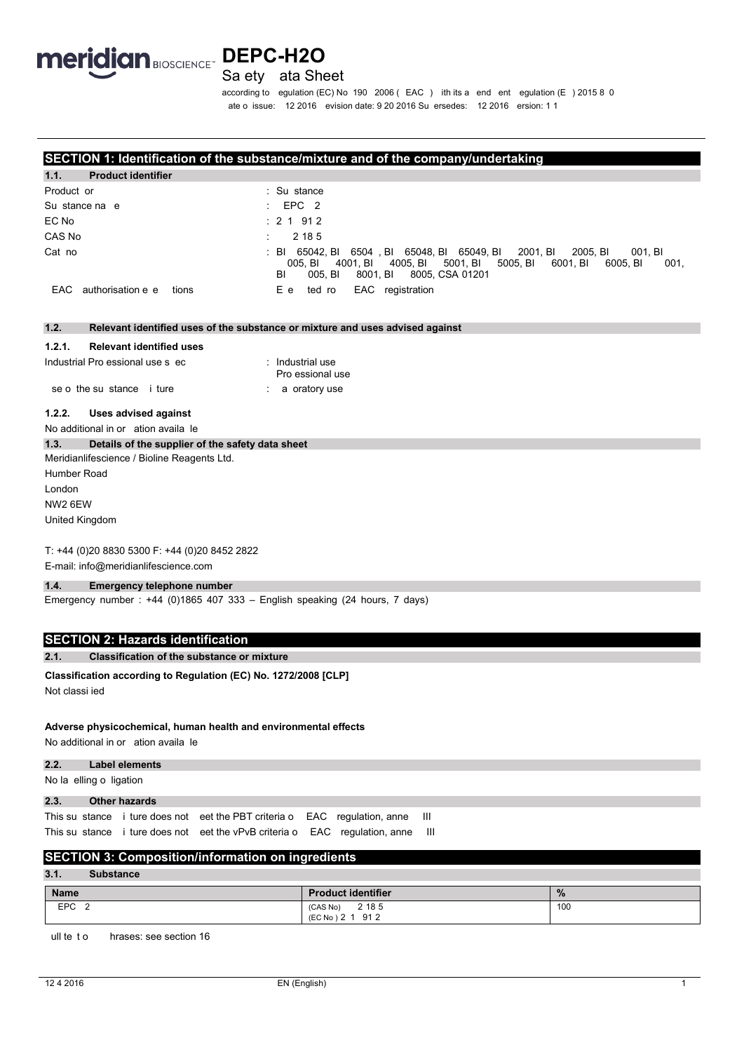

### Sa ety ata Sheet

according to egulation (EC) No 190 2006 (EAC) ith its a end ent egulation (E) 2015 8 0 ate o issue: 12 2016 evision date: 9 20 2016 Su ersedes: 12 2016 ersion: 1 1

### SECTION 1: Identification of the substance/mixture and of the company/undertaking

| 1.1.<br>Product Identifier     |                                                                                                                                                                                                                     |
|--------------------------------|---------------------------------------------------------------------------------------------------------------------------------------------------------------------------------------------------------------------|
| Product or                     | : Su stance                                                                                                                                                                                                         |
| Su stance na e                 | $\therefore$ EPC 2                                                                                                                                                                                                  |
| EC No                          | $\div$ 2 1 912                                                                                                                                                                                                      |
| CAS No                         | 2 18 5                                                                                                                                                                                                              |
| Cat no                         | : BI 65042, BI 6504, BI 65048, BI 65049, BI<br>2001, BI<br>2005. BI<br>001. BI<br>4001, BI 4005, BI 5001, BI<br>5005. BI<br>6001. BI<br>6005. BI<br>001,<br>005. BI<br>8005, CSA 01201<br>BL<br>005. BI<br>8001. BI |
| EAC authorisation e e<br>tions | EAC registration<br>E e ted ro                                                                                                                                                                                      |

#### Relevant identified uses of the substance or mixture and uses advised against  $1.2.$

#### $1.2.1.$ **Relevant identified uses**

| Industrial Pro essional use s ec | : Industrial use<br>Pro essional use |
|----------------------------------|--------------------------------------|
| se o the su stance i ture        | : a oratory use                      |

#### $1.2.2.$ **Uses advised against**

No additional in or ation availa le

#### $1.3.$ Details of the supplier of the safety data sheet

Meridianlifescience / Bioline Reagents Ltd. Humber Road London

NW2 6EW

United Kingdom

### T: +44 (0)20 8830 5300 F: +44 (0)20 8452 2822

E-mail: info@meridianlifescience.com

#### Emergency telephone number  $1.4.$

Emergency number: +44 (0)1865 407 333 - English speaking (24 hours, 7 days)

### **SECTION 2: Hazards identification**

#### **Classification of the substance or mixture**  $2.1.$

Classification according to Regulation (EC) No. 1272/2008 [CLP]

Not classi ied

### Adverse physicochemical, human health and environmental effects

No additional in or ation availa le

#### $2.2.$ **Label elements**

No la elling o ligation

#### **Other hazards**  $2.3.$

This su stance i ture does not eet the PBT criteria o EAC regulation, anne  $\overline{\mathbf{H}}$ This su stance i ture does not eet the vPvB criteria o EAC regulation, anne  $\mathbf{H}$ 

### **SECTION 3: Composition/information on ingredients**

#### **Substance**  $3.1$

| Name                   | <b>Product identifier</b>                 | $\frac{9}{6}$ |
|------------------------|-------------------------------------------|---------------|
| <b>EPC</b><br><u>.</u> | 2 18 5<br>(CAS No)<br>912<br>(EC No ) 2 1 | 100           |

ull te to hrases: see section 16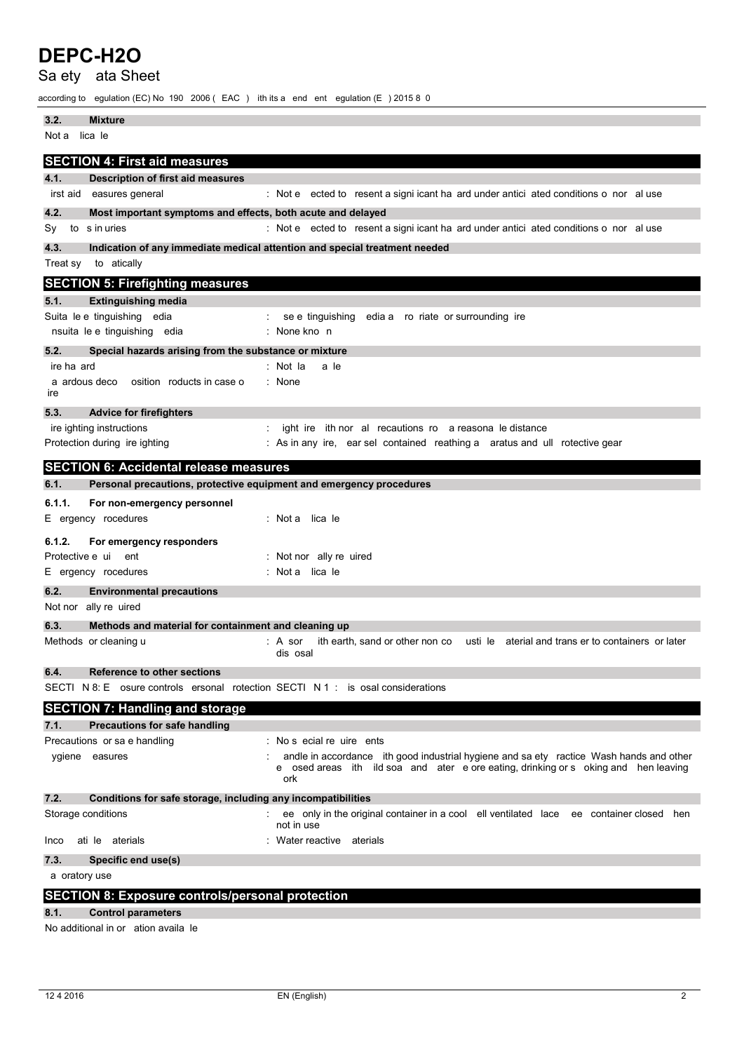Sa ety ata Sheet

according to egulation (EC) No 190 2006 (EAC) ith its a end ent egulation (E) 2015 8 0

| 3.2.<br><b>Mixture</b>                                                           |                                                                                                                                                                                       |
|----------------------------------------------------------------------------------|---------------------------------------------------------------------------------------------------------------------------------------------------------------------------------------|
| lica le<br>Not a                                                                 |                                                                                                                                                                                       |
| <b>SECTION 4: First aid measures</b>                                             |                                                                                                                                                                                       |
| 4.1.<br><b>Description of first aid measures</b>                                 |                                                                                                                                                                                       |
| irst aid<br>easures general                                                      | : Not e ected to resent a signi icant ha ard under antici ated conditions o nor al use                                                                                                |
| 4.2.<br>Most important symptoms and effects, both acute and delayed              |                                                                                                                                                                                       |
| Sy<br>to s in uries                                                              | : Not e ected to resent a signi icant ha ard under antici ated conditions o nor al use                                                                                                |
| 4.3.                                                                             | Indication of any immediate medical attention and special treatment needed                                                                                                            |
| Treat sy<br>to atically                                                          |                                                                                                                                                                                       |
| <b>SECTION 5: Firefighting measures</b>                                          |                                                                                                                                                                                       |
| 5.1.<br><b>Extinguishing media</b>                                               |                                                                                                                                                                                       |
| Suita le e tinguishing edia                                                      | se e tinguishing edia a ro riate or surrounding ire                                                                                                                                   |
| nsuita le e tinguishing edia                                                     | : None kno n                                                                                                                                                                          |
| 5.2.<br>Special hazards arising from the substance or mixture                    |                                                                                                                                                                                       |
| ire ha ard                                                                       | : Not la<br>a le                                                                                                                                                                      |
| a ardous deco<br>osition roducts in case o<br>ire                                | : None                                                                                                                                                                                |
| 5.3.<br><b>Advice for firefighters</b>                                           |                                                                                                                                                                                       |
| ire ighting instructions                                                         | ight ire ith nor al recautions ro a reasona le distance                                                                                                                               |
| Protection during ire ighting                                                    | : As in any ire, ear sel contained reathing a aratus and ull rotective gear                                                                                                           |
| <b>SECTION 6: Accidental release measures</b>                                    |                                                                                                                                                                                       |
| 6.1.<br>Personal precautions, protective equipment and emergency procedures      |                                                                                                                                                                                       |
| 6.1.1.<br>For non-emergency personnel                                            |                                                                                                                                                                                       |
| E ergency rocedures                                                              | : Notallicale                                                                                                                                                                         |
| 6.1.2.<br>For emergency responders                                               |                                                                                                                                                                                       |
| Protective e ui ent                                                              | : Not nor ally re uired                                                                                                                                                               |
| E ergency rocedures                                                              | : Not a lica le                                                                                                                                                                       |
| 6.2.<br><b>Environmental precautions</b>                                         |                                                                                                                                                                                       |
| Not nor ally re uired                                                            |                                                                                                                                                                                       |
| 6.3.<br>Methods and material for containment and cleaning up                     |                                                                                                                                                                                       |
| Methods or cleaning u                                                            | ith earth, sand or other non co<br>usti le<br>aterial and trans er to containers or later<br>: A sor<br>dis osal                                                                      |
| 6.4.<br>Reference to other sections                                              |                                                                                                                                                                                       |
| SECTI N 8: E osure controls ersonal rotection SECTI N 1 : is osal considerations |                                                                                                                                                                                       |
| <b>SECTION 7: Handling and storage</b>                                           |                                                                                                                                                                                       |
| <b>Precautions for safe handling</b><br>7.1.                                     |                                                                                                                                                                                       |
| Precautions or sa e handling                                                     | : No s ecial re uire ents                                                                                                                                                             |
| ygiene easures                                                                   | andle in accordance ith good industrial hygiene and sa ety ractice Wash hands and other<br>e osed areas ith ild soa and ater e ore eating, drinking or s oking and hen leaving<br>ork |
| 7.2.<br>Conditions for safe storage, including any incompatibilities             |                                                                                                                                                                                       |
| Storage conditions                                                               | ee only in the original container in a cool ell ventilated lace ee container closed hen<br>not in use                                                                                 |
| ati le aterials<br>Inco                                                          | Water reactive aterials                                                                                                                                                               |
| 7.3.<br>Specific end use(s)                                                      |                                                                                                                                                                                       |
| a oratory use                                                                    |                                                                                                                                                                                       |
| <b>SECTION 8: Exposure controls/personal protection</b>                          |                                                                                                                                                                                       |
| 8.1.<br><b>Control parameters</b>                                                |                                                                                                                                                                                       |
| No additional in or ation availa le                                              |                                                                                                                                                                                       |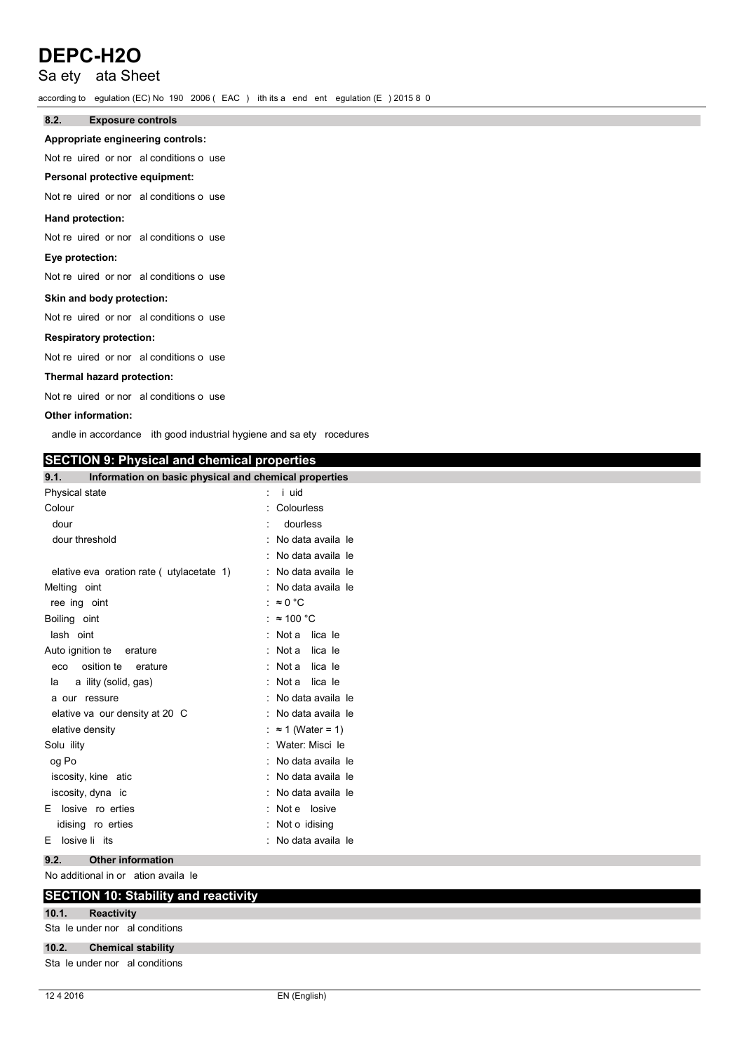## Sa ety ata Sheet

according to egulation (EC) No 190 2006 (EAC) ith its a end ent egulation (E) 2015 8 0

#### $8.2.$ **Exposure controls**

### Appropriate engineering controls:

Not re uired or nor al conditions o use

### Personal protective equipment:

Not re uired or nor al conditions o use

### Hand protection:

Not re uired or nor al conditions o use

# Eye protection:

Not re uired or nor al conditions o use

### Skin and body protection:

Not re uired or nor al conditions o use

### **Respiratory protection:**

Not re uired or nor al conditions o use

### Thermal hazard protection:

Not re uired or nor al conditions o use

### Other information:

andle in accordance ith good industrial hygiene and sa ety rocedures

### **SECTION 9: Physical and chemical properties**

| 9.1.<br>Information on basic physical and chemical properties |                           |
|---------------------------------------------------------------|---------------------------|
| Physical state                                                | $:$ i uid                 |
| Colour                                                        | Colourless                |
| dour                                                          | dourless                  |
| dour threshold                                                | : No data availa le       |
|                                                               | : No data availa le       |
| elative eva oration rate (utylacetate 1)                      | : No data availa le       |
| Melting oint                                                  | : No data availa le       |
| ree ing oint                                                  | : $\approx 0$ °C          |
| Boiling oint                                                  | : $\approx$ 100 °C        |
| lash oint                                                     | lica le<br>: Not a        |
| Auto ignition te<br>erature                                   | lica le<br>: Not a        |
| osition te<br>erature<br>eco                                  | lica le<br>: Not a        |
| a ility (solid, gas)<br>la                                    | : Not a lica le           |
| a our ressure                                                 | : No data availa le       |
| elative va our density at 20 C                                | : No data availa le       |
| elative density                                               | : $\approx$ 1 (Water = 1) |
| Solu ility                                                    | : Water: Misci le         |
| og Po                                                         | : No data availa le       |
| iscosity, kine atic                                           | : No data availa le       |
| iscosity, dyna ic                                             | : No data availa le       |
| E losive ro erties                                            | : Not e losive            |
| idising ro erties                                             | : Not o idising           |
| losive li its<br>Е                                            | No data availa le         |

#### **Other information**  $9.2.$

No additional in or ation availa le

### **SECTION 10: Stability and reactivity**

**Reactivity**  $10.1.$ 

### Sta le under nor al conditions

#### $10.2.$ **Chemical stability**

Sta le under nor al conditions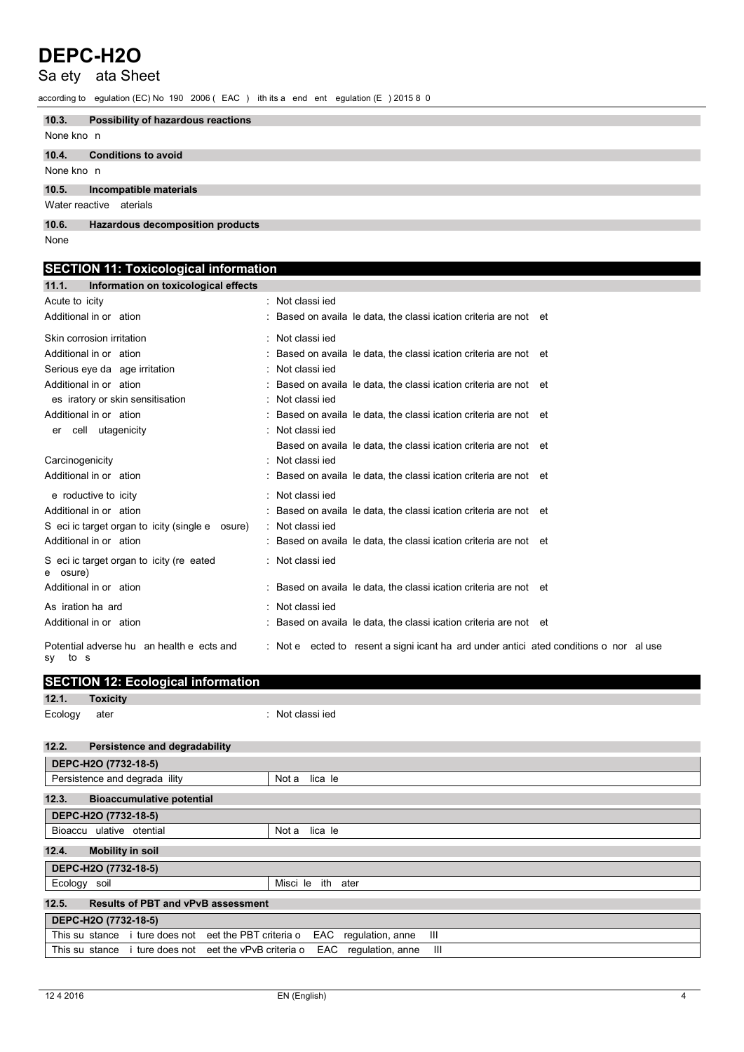# Sa ety ata Sheet

according to egulation (EC) No 190 2006 (EAC) ith its a end ent egulation (E) 2015 8 0

| 10.3.      | Possibility of hazardous reactions |
|------------|------------------------------------|
| None kno n |                                    |
| 10.4.      | <b>Conditions to avoid</b>         |
| None kno n |                                    |
| 10.5.      | Incompatible materials             |
|            | Water reactive aterials            |
| 10.6.      | Hazardous decomposition products   |
| None       |                                    |

### **SECTION 11: Toxicological information** 11.1. Information on toxicological effects

| .<br><b>INTOITING INTO THE LOCAL COLOGICAL BITBCLS</b> |                                                                                        |
|--------------------------------------------------------|----------------------------------------------------------------------------------------|
| Acute to icity                                         | : Not classi jed                                                                       |
| Additional in or ation                                 | Based on availa le data, the classi ication criteria are not et                        |
| Skin corrosion irritation                              | : Not classi jed                                                                       |
| Additional in or ation                                 | Based on availa le data, the classi ication criteria are not et                        |
| Serious eye da age irritation                          | : Not classi jed                                                                       |
| Additional in or ation                                 | Based on availa le data, the classi ication criteria are not et                        |
| es iratory or skin sensitisation                       | Not classi jed<br>÷                                                                    |
| Additional in or ation                                 | Based on availa le data, the classi ication criteria are not et                        |
| er cell utagenicity                                    | : Not classi jed                                                                       |
|                                                        | Based on availa le data, the classi ication criteria are not et                        |
| Carcinogenicity                                        | : Not classi jed                                                                       |
| Additional in or ation                                 | Based on availa le data, the classi ication criteria are not et                        |
| e roductive to icity                                   | : Not classi jed                                                                       |
| Additional in or ation                                 | Based on availa le data, the classi ication criteria are not et                        |
| S eci ic target organ to icity (single e osure)        | : Not classi jed                                                                       |
| Additional in or ation                                 | : Based on availa le data, the classi ication criteria are not et                      |
| S eci ic target organ to icity (re eated<br>e osure)   | : Not classi jed                                                                       |
| Additional in or ation                                 | Based on availa le data, the classi ication criteria are not et                        |
| As iration ha ard                                      | Not classi jed                                                                         |
| Additional in or ation                                 | Based on availa le data, the classi ication criteria are not et                        |
| Potential adverse hu an health e ects and<br>sy to s   | : Not e ected to resent a signi icant ha ard under antici ated conditions o nor al use |

| <b>SECTION 12: Ecological information</b> |  |
|-------------------------------------------|--|
|                                           |  |

|              | $12.1.$ $10$ XICITY |                  |
|--------------|---------------------|------------------|
| Ecology ater |                     | : Not classi jed |

### 12.2. Persistence and degradability

| DEPC-H2O (7732-18-5)                                                                   |                              |
|----------------------------------------------------------------------------------------|------------------------------|
| Persistence and degrada ility                                                          | lica le<br>Not a             |
| 12.3.<br><b>Bioaccumulative potential</b>                                              |                              |
| DEPC-H2O (7732-18-5)                                                                   |                              |
| Bioaccu ulative otential                                                               | lica le<br>Not a             |
| 12.4.<br><b>Mobility in soil</b>                                                       |                              |
| DEPC-H2O (7732-18-5)                                                                   |                              |
| Ecology soil                                                                           | Misci le<br>ith<br>ater      |
| 12.5.<br><b>Results of PBT and vPvB assessment</b>                                     |                              |
| DEPC-H2O (7732-18-5)                                                                   |                              |
| This su stance i ture does not eet the PBT criteria o                                  | regulation, anne<br>Ш<br>EAC |
| This su stance i ture does not eet the vPvB criteria o<br>EAC<br>regulation, anne<br>Ш |                              |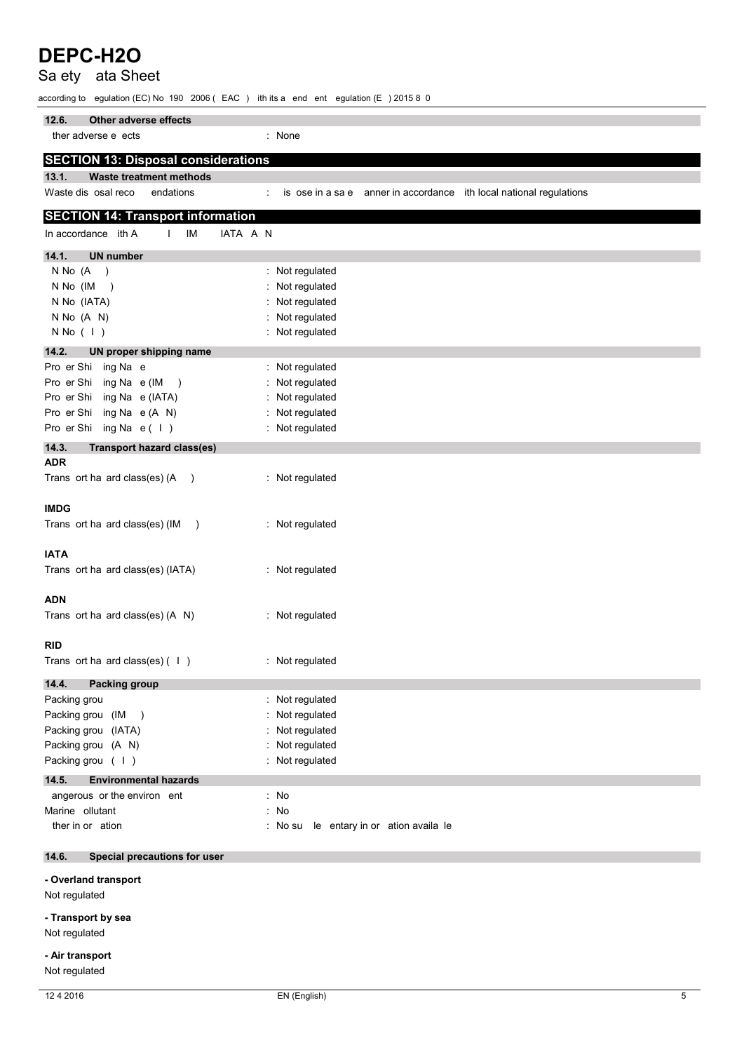#### Sa ety ata Sheet according to egulation (EC) No 190 2006 (EAC) ith its a end ent egulation (E) 2015 8 0 Other adverse effects  $12.6.$ ther adverse e ects : None **SECTION 13: Disposal considerations**  $13.1.$ **Waste treatment methods** Waste dis osal reco endations is ose in a sa e anner in accordance ith local national regulations  $\mathcal{L}^{\mathcal{L}}$ **SECTION 14: Transport information** In accordance ith A IM IATA A N  $\mathbf{L}$  $14.1.$ **UN number**  $N N_0 (A)$ : Not regulated N No (IM ) : Not regulated N No (IATA) : Not regulated : Not regulated N No (A N)  $N No (1)$ : Not regulated  $14.2.$ UN proper shipping name : Not regulated Pro er Shi ing Na e Pro er Shi ing Na e (IM) : Not regulated Pro er Shi ing Na e (IATA) : Not regulated Pro er Shi ing Na e (A N) : Not regulated : Not regulated Pro er Shi ing Na e( I)  $14.3.$ **Transport hazard class(es) ADR** Trans ort ha ard class(es)  $(A)$ : Not regulated **IMDG** Trans ort ha ard class(es) (IM ) : Not regulated **IATA** Trans ort ha ard class(es) (IATA) : Not regulated **ADN** Trans ort ha ard class(es) (A N) : Not regulated **RID** Trans ort ha ard class(es)  $(1)$ : Not regulated Packing group  $14.4.$ Packing grou : Not regulated Packing grou (IM) : Not regulated : Not regulated Packing grou (IATA) Packing grou (A N) : Not regulated Packing grou ( | ) : Not regulated **Environmental hazards**  $14.5.$ angerous or the environ ent  $: No$ Marine ollutant  $: No$ ther in or ation : No su le entary in or ation availa le  $14.6.$ **Special precautions for user**

### - Overland transport

DEPC-H2O

Not regulated

### - Transport by sea Not regulated

- Air transport

Not regulated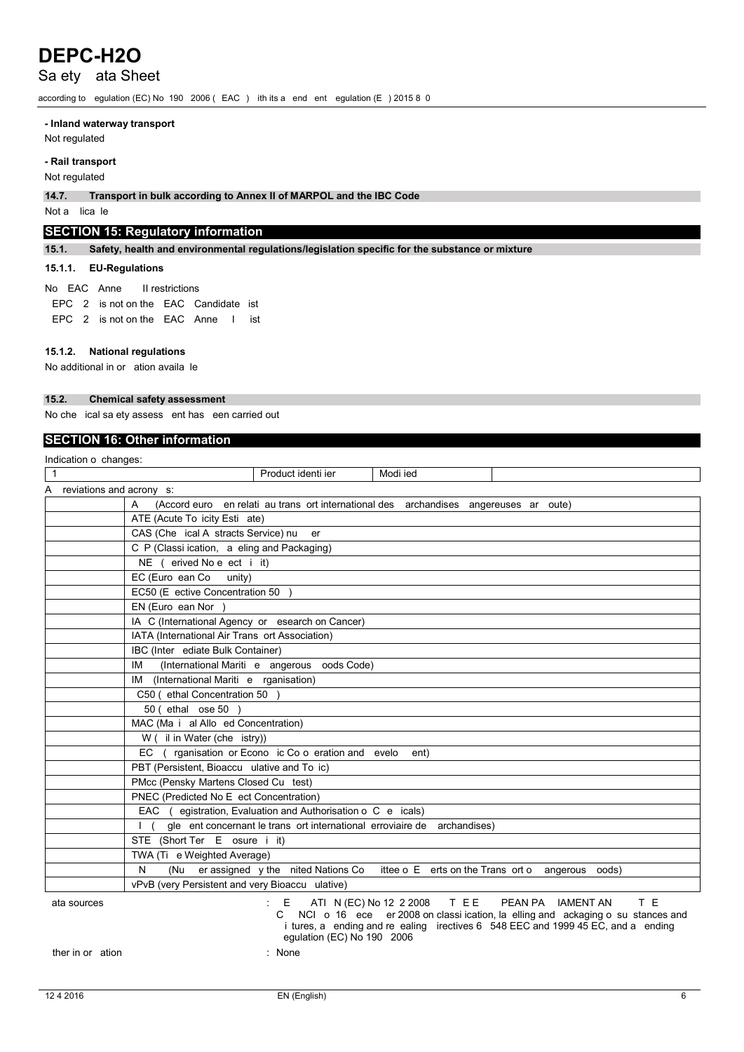## Sa ety ata Sheet

according to egulation (EC) No 190 2006 (EAC) ith its a end ent egulation (E) 2015 8 0

### - Inland waterway transport

Not regulated

### - Rail transport

Not regulated

Transport in bulk according to Annex II of MARPOL and the IBC Code  $14.7.$ 

Not a lica le

### **SECTION 15: Regulatory information**

 $15.1.$ Safety, health and environmental regulations/legislation specific for the substance or mixture

### 15.1.1. EU-Regulations

#### No EAC Anne II restrictions

EPC 2 is not on the EAC Candidate ist EPC 2 is not on the EAC Anne I ist

### 15.1.2. National regulations

No additional in or ation availa le

#### $15.2.$ **Chemical safety assessment**

No che ical sa ety assess ent has een carried out

## **SECTION 16: Other information**

| Indication o changes:      |                                                                                                                                                                                                                                                                      |
|----------------------------|----------------------------------------------------------------------------------------------------------------------------------------------------------------------------------------------------------------------------------------------------------------------|
| $\mathbf{1}$               | Product identi ier<br>Modi ied                                                                                                                                                                                                                                       |
| A reviations and acrony s: |                                                                                                                                                                                                                                                                      |
|                            | A<br>(Accord euro en relati au trans ort international des archandises angereuses ar oute)                                                                                                                                                                           |
|                            | ATE (Acute To icity Esti ate)                                                                                                                                                                                                                                        |
|                            | CAS (Che ical A stracts Service) nu er                                                                                                                                                                                                                               |
|                            | C P (Classi ication, a eling and Packaging)                                                                                                                                                                                                                          |
|                            | NE (erived No e ect i it)                                                                                                                                                                                                                                            |
|                            | EC (Euro ean Co<br>unity)                                                                                                                                                                                                                                            |
|                            | EC50 (E ective Concentration 50)                                                                                                                                                                                                                                     |
|                            | EN (Euro ean Nor                                                                                                                                                                                                                                                     |
|                            | IA C (International Agency or esearch on Cancer)                                                                                                                                                                                                                     |
|                            | IATA (International Air Trans ort Association)                                                                                                                                                                                                                       |
|                            | IBC (Inter ediate Bulk Container)                                                                                                                                                                                                                                    |
|                            | IM<br>(International Mariti e angerous oods Code)                                                                                                                                                                                                                    |
|                            | IM (International Mariti e rganisation)                                                                                                                                                                                                                              |
|                            | C50 (ethal Concentration 50)                                                                                                                                                                                                                                         |
|                            | 50 (ethal ose 50                                                                                                                                                                                                                                                     |
|                            | MAC (Ma i al Allo ed Concentration)                                                                                                                                                                                                                                  |
|                            | W ( il in Water (che istry))                                                                                                                                                                                                                                         |
|                            | rganisation or Econo ic Co o eration and evelo<br>EC.<br>ent)                                                                                                                                                                                                        |
|                            | PBT (Persistent, Bioaccu ulative and To ic)                                                                                                                                                                                                                          |
|                            | PMcc (Pensky Martens Closed Cu test)                                                                                                                                                                                                                                 |
|                            | PNEC (Predicted No E ect Concentration)                                                                                                                                                                                                                              |
|                            | EAC (egistration, Evaluation and Authorisation o C e icals)                                                                                                                                                                                                          |
|                            | gle ent concernant le trans ort international erroviaire de archandises)                                                                                                                                                                                             |
|                            | STE (Short Ter E osure i it)                                                                                                                                                                                                                                         |
|                            | TWA (Ti e Weighted Average)                                                                                                                                                                                                                                          |
|                            | (Nu er assigned y the nited Nations Co<br>ittee o E erts on the Trans ort o angerous oods)<br>N                                                                                                                                                                      |
|                            | vPvB (very Persistent and very Bioaccu ulative)                                                                                                                                                                                                                      |
| ata sources                | T E<br>E ATIN (EC) No 12 2 2008 T EE<br>PEAN PA IAMENT AN<br>NCI o 16 ece er 2008 on classi ication, la elling and ackaging o su stances and<br>C.<br>i tures, a ending and re ealing irectives 6 548 EEC and 1999 45 EC, and a ending<br>egulation (EC) No 190 2006 |
| ther in or ation           | $:$ None                                                                                                                                                                                                                                                             |